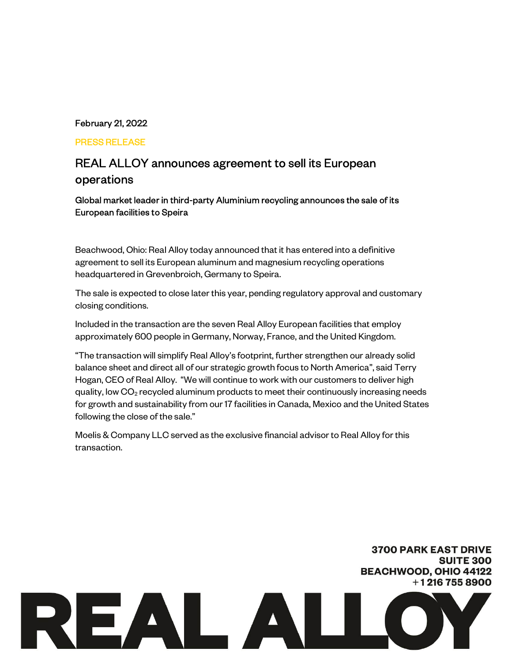# February 21, 2022

### PRESS RELEASE

# REAL ALLOY announces agreement to sell its European operations

Global market leader in third-party Aluminium recycling announces the sale of its European facilities to Speira

Beachwood, Ohio: Real Alloy today announced that it has entered into a definitive agreement to sell its European aluminum and magnesium recycling operations headquartered in Grevenbroich, Germany to Speira.

The sale is expected to close later this year, pending regulatory approval and customary closing conditions.

Included in the transaction are the seven Real Alloy European facilities that employ approximately 600 people in Germany, Norway, France, and the United Kingdom.

"The transaction will simplify Real Alloy's footprint, further strengthen our already solid balance sheet and direct all of our strategic growth focus to North America", said Terry Hogan, CEO of Real Alloy. "We will continue to work with our customers to deliver high quality, low  $CO<sub>2</sub>$  recycled aluminum products to meet their continuously increasing needs for growth and sustainability from our 17 facilities in Canada, Mexico and the United States following the close of the sale."

Moelis & Company LLC served as the exclusive financial advisor to Real Alloy for this transaction.

# **3700 PARK EAST DRIVE SUITE 300 BEACHWOOD, OHIO 44122**  $+12167558900$ REAL ALLO